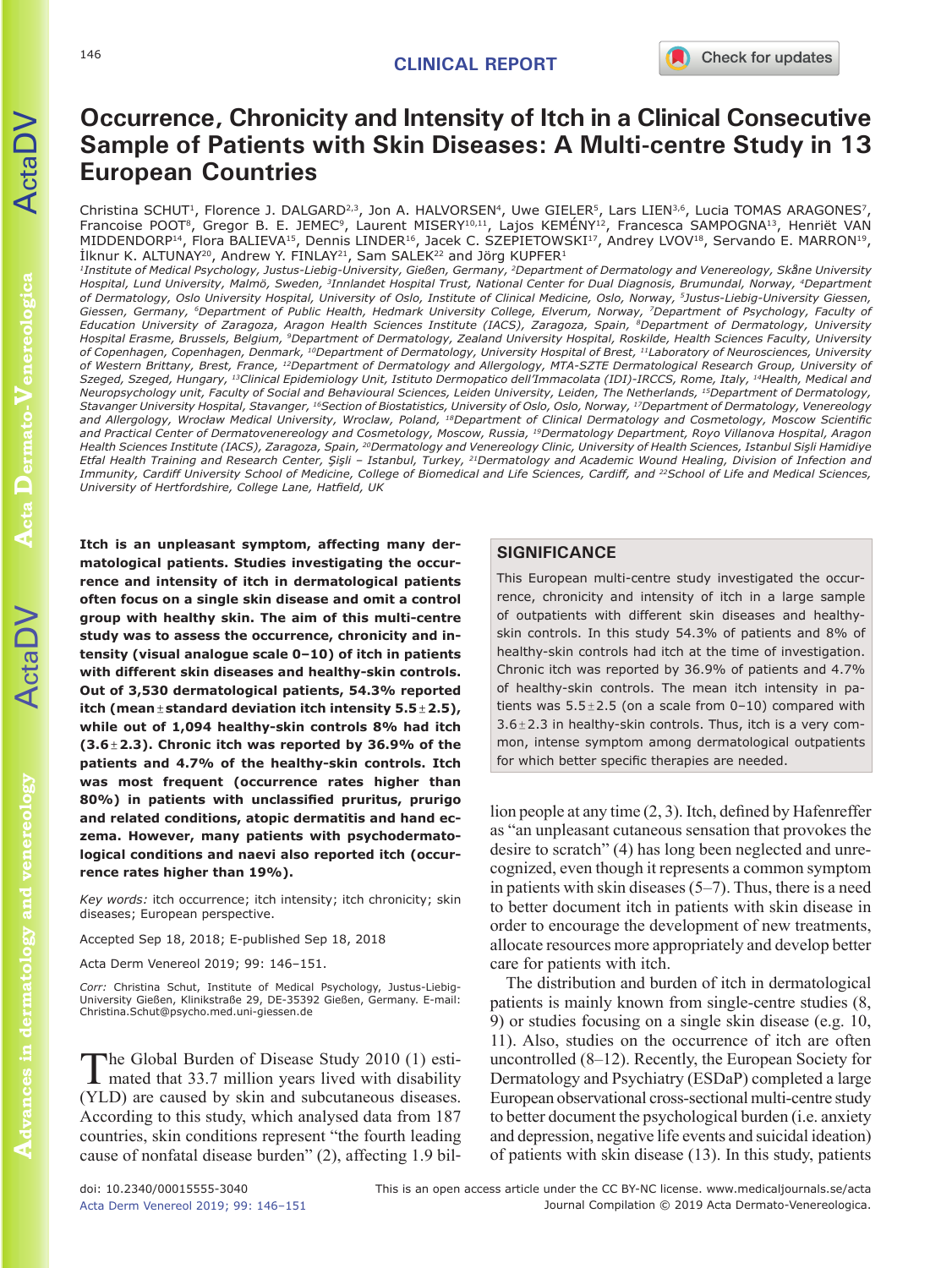# **Occurrence, Chronicity and Intensity of Itch in a Clinical Consecutive Sample of Patients with Skin Diseases: A Multi-centre Study in 13 European Countries**

Christina SCHUT<sup>1</sup>, Florence J. DALGARD<sup>2,3</sup>, Jon A. HALVORSEN<sup>4</sup>, Uwe GIELER<sup>5</sup>, Lars LIEN<sup>3,6</sup>, Lucia TOMAS ARAGONES<sup>7</sup> Francoise POOT8, Gregor B. E. JEMEC9, Laurent MISERY10,11, Lajos KEMÉNY12, Francesca SAMPOGNA13, Henriët VAN MIDDENDORP<sup>14</sup>, Flora BALIEVA<sup>15</sup>, Dennis LINDER<sup>16</sup>, Jacek C. SZEPIETOWSKI<sup>17</sup>, Andrey LVOV<sup>18</sup>, Servando E. MARRON<sup>19</sup>,  $I$ knur K. ALTUNAY<sup>20</sup>, Andrew Y. FINLAY<sup>21</sup>, Sam SALEK<sup>22</sup> and Jörg KUPFER<sup>1</sup>

*1Institute of Medical Psychology, Justus-Liebig-University, Gießen, Germany, 2Department of Dermatology and Venereology, Skåne University Hospital, Lund University, Malmö, Sweden, 3Innlandet Hospital Trust, National Center for Dual Diagnosis, Brumundal, Norway, 4Department of Dermatology, Oslo University Hospital, University of Oslo, Institute of Clinical Medicine, Oslo, Norway, 5Justus-Liebig-University Giessen,*  Giessen, Germany, <sup>6</sup>Department of Public Health, Hedmark University College, Elverum, Norway, <sup>7</sup>Department of Psychology, Faculty of *Education University of Zaragoza, Aragon Health Sciences Institute (IACS), Zaragoza, Spain, 8Department of Dermatology, University Hospital Erasme, Brussels, Belgium, 9Department of Dermatology, Zealand University Hospital, Roskilde, Health Sciences Faculty, University of Copenhagen, Copenhagen, Denmark, 10Department of Dermatology, University Hospital of Brest, 11Laboratory of Neurosciences, University of Western Brittany, Brest, France, 12Department of Dermatology and Allergology, MTA-SZTE Dermatological Research Group, University of Szeged, Szeged, Hungary, 13Clinical Epidemiology Unit, Istituto Dermopatico dell'Immacolata (IDI)-IRCCS, Rome, Italy, 14Health, Medical and Neuropsychology unit, Faculty of Social and Behavioural Sciences, Leiden University, Leiden, The Netherlands, 15Department of Dermatology, Stavanger University Hospital, Stavanger, 16Section of Biostatistics, University of Oslo, Oslo, Norway, 17Department of Dermatology, Venereology and Allergology, Wrocław Medical University, Wroclaw, Poland, 18Department of Clinical Dermatology and Cosmetology, Moscow Scientific and Practical Center of Dermatovenereology and Cosmetology, Moscow, Russia, 19Dermatology Department, Royo Villanova Hospital, Aragon Health Sciences Institute (IACS), Zaragoza, Spain, 20Dermatology and Venereology Clinic, University of Health Sciences, Istanbul Sişli Hamidiye Etfal Health Training and Research Center, Şişli – Istanbul, Turkey, 21Dermatology and Academic Wound Healing, Division of Infection and Immunity, Cardiff University School of Medicine, College of Biomedical and Life Sciences, Cardiff, and 22School of Life and Medical Sciences, University of Hertfordshire, College Lane, Hatfield, UK*

**Itch is an unpleasant symptom, affecting many dermatological patients. Studies investigating the occurrence and intensity of itch in dermatological patients often focus on a single skin disease and omit a control group with healthy skin. The aim of this multi-centre study was to assess the occurrence, chronicity and intensity (visual analogue scale 0–10) of itch in patients with different skin diseases and healthy-skin controls. Out of 3,530 dermatological patients, 54.3% reported itch (mean±standard deviation itch intensity 5.5±2.5), while out of 1,094 healthy-skin controls 8% had itch (3.6±2.3). Chronic itch was reported by 36.9% of the patients and 4.7% of the healthy-skin controls. Itch was most frequent (occurrence rates higher than 80%) in patients with unclassified pruritus, prurigo and related conditions, atopic dermatitis and hand eczema. However, many patients with psychodermatological conditions and naevi also reported itch (occurrence rates higher than 19%).** 

*Key words:* itch occurrence; itch intensity; itch chronicity; skin diseases; European perspective.

Accepted Sep 18, 2018; E-published Sep 18, 2018

Acta Derm Venereol 2019; 99: 146–151.

*Corr:* Christina Schut, Institute of Medical Psychology, Justus-Liebig-University Gießen, Klinikstraße 29, DE-35392 Gießen, Germany. E-mail: Christina.Schut@psycho.med.uni-giessen.de

The Global Burden of Disease Study 2010 (1) esti-<br>mated that 33.7 million years lived with disability (YLD) are caused by skin and subcutaneous diseases. According to this study, which analysed data from 187 countries, skin conditions represent "the fourth leading cause of nonfatal disease burden" (2), affecting 1.9 bil-

## **SIGNIFICANCE**

This European multi-centre study investigated the occurrence, chronicity and intensity of itch in a large sample of outpatients with different skin diseases and healthyskin controls. In this study 54.3% of patients and 8% of healthy-skin controls had itch at the time of investigation. Chronic itch was reported by 36.9% of patients and 4.7% of healthy-skin controls. The mean itch intensity in patients was  $5.5 \pm 2.5$  (on a scale from  $0-10$ ) compared with  $3.6 \pm 2.3$  in healthy-skin controls. Thus, itch is a very common, intense symptom among dermatological outpatients for which better specific therapies are needed.

lion people at any time (2, 3). Itch, defined by Hafenreffer as "an unpleasant cutaneous sensation that provokes the desire to scratch" (4) has long been neglected and unrecognized, even though it represents a common symptom in patients with skin diseases (5–7). Thus, there is a need to better document itch in patients with skin disease in order to encourage the development of new treatments, allocate resources more appropriately and develop better care for patients with itch.

The distribution and burden of itch in dermatological patients is mainly known from single-centre studies (8, 9) or studies focusing on a single skin disease (e.g. 10, 11). Also, studies on the occurrence of itch are often uncontrolled (8–12). Recently, the European Society for Dermatology and Psychiatry (ESDaP) completed a large European observational cross-sectional multi-centre study to better document the psychological burden (i.e. anxiety and depression, negative life events and suicidal ideation) of patients with skin disease (13). In this study, patients

 $\Delta$ cta $\Gamma$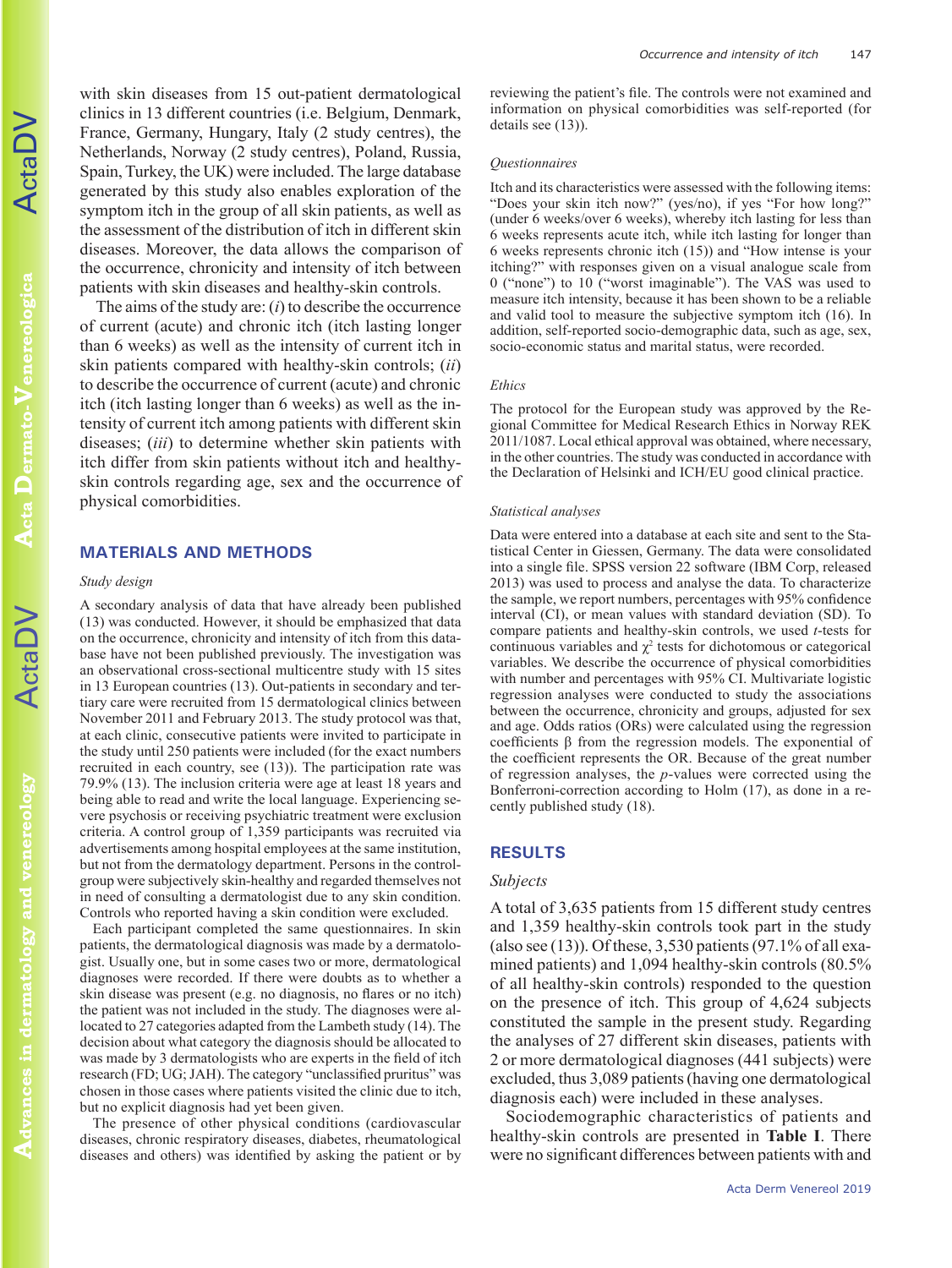**Acta Dermato-Venereologica Dermato-Venereologica**

**Advances in dermatology and venereology** Advances in dermatology and venereology with skin diseases from 15 out-patient dermatological clinics in 13 different countries (i.e. Belgium, Denmark, France, Germany, Hungary, Italy (2 study centres), the Netherlands, Norway (2 study centres), Poland, Russia, Spain, Turkey, the UK) were included. The large database generated by this study also enables exploration of the symptom itch in the group of all skin patients, as well as the assessment of the distribution of itch in different skin diseases. Moreover, the data allows the comparison of the occurrence, chronicity and intensity of itch between patients with skin diseases and healthy-skin controls.

The aims of the study are: (*i*) to describe the occurrence of current (acute) and chronic itch (itch lasting longer than 6 weeks) as well as the intensity of current itch in skin patients compared with healthy-skin controls; (*ii*) to describe the occurrence of current (acute) and chronic itch (itch lasting longer than 6 weeks) as well as the intensity of current itch among patients with different skin diseases; (*iii*) to determine whether skin patients with itch differ from skin patients without itch and healthyskin controls regarding age, sex and the occurrence of physical comorbidities.

## **MATERIALS AND METHODS**

### *Study design*

A secondary analysis of data that have already been published (13) was conducted. However, it should be emphasized that data on the occurrence, chronicity and intensity of itch from this database have not been published previously. The investigation was an observational cross-sectional multicentre study with 15 sites in 13 European countries (13). Out-patients in secondary and tertiary care were recruited from 15 dermatological clinics between November 2011 and February 2013. The study protocol was that, at each clinic, consecutive patients were invited to participate in the study until 250 patients were included (for the exact numbers recruited in each country, see (13)). The participation rate was 79.9% (13). The inclusion criteria were age at least 18 years and being able to read and write the local language. Experiencing severe psychosis or receiving psychiatric treatment were exclusion criteria. A control group of 1,359 participants was recruited via advertisements among hospital employees at the same institution, but not from the dermatology department. Persons in the controlgroup were subjectively skin-healthy and regarded themselves not in need of consulting a dermatologist due to any skin condition. Controls who reported having a skin condition were excluded.

Each participant completed the same questionnaires. In skin patients, the dermatological diagnosis was made by a dermatologist. Usually one, but in some cases two or more, dermatological diagnoses were recorded. If there were doubts as to whether a skin disease was present (e.g. no diagnosis, no flares or no itch) the patient was not included in the study. The diagnoses were allocated to 27 categories adapted from the Lambeth study (14). The decision about what category the diagnosis should be allocated to was made by 3 dermatologists who are experts in the field of itch research (FD; UG; JAH). The category "unclassified pruritus" was chosen in those cases where patients visited the clinic due to itch, but no explicit diagnosis had yet been given.

The presence of other physical conditions (cardiovascular diseases, chronic respiratory diseases, diabetes, rheumatological diseases and others) was identified by asking the patient or by

reviewing the patient's file. The controls were not examined and information on physical comorbidities was self-reported (for details see  $(13)$ ).

#### *Questionnaires*

Itch and its characteristics were assessed with the following items: "Does your skin itch now?" (yes/no), if yes "For how long?" (under 6 weeks/over 6 weeks), whereby itch lasting for less than 6 weeks represents acute itch, while itch lasting for longer than 6 weeks represents chronic itch (15)) and "How intense is your itching?" with responses given on a visual analogue scale from 0 ("none") to 10 ("worst imaginable"). The VAS was used to measure itch intensity, because it has been shown to be a reliable and valid tool to measure the subjective symptom itch (16). In addition, self-reported socio-demographic data, such as age, sex, socio-economic status and marital status, were recorded.

### *Ethics*

The protocol for the European study was approved by the Regional Committee for Medical Research Ethics in Norway REK 2011/1087. Local ethical approval was obtained, where necessary, in the other countries. The study was conducted in accordance with the Declaration of Helsinki and ICH/EU good clinical practice.

#### *Statistical analyses*

Data were entered into a database at each site and sent to the Statistical Center in Giessen, Germany. The data were consolidated into a single file. SPSS version 22 software (IBM Corp, released 2013) was used to process and analyse the data. To characterize the sample, we report numbers, percentages with 95% confidence interval (CI), or mean values with standard deviation (SD). To compare patients and healthy-skin controls, we used *t*-tests for continuous variables and  $\chi^2$  tests for dichotomous or categorical variables. We describe the occurrence of physical comorbidities with number and percentages with 95% CI. Multivariate logistic regression analyses were conducted to study the associations between the occurrence, chronicity and groups, adjusted for sex and age. Odds ratios (ORs) were calculated using the regression coefficients β from the regression models. The exponential of the coefficient represents the OR. Because of the great number of regression analyses, the *p*-values were corrected using the Bonferroni-correction according to Holm (17), as done in a recently published study (18).

#### **RESULTS**

#### *Subjects*

A total of 3,635 patients from 15 different study centres and 1,359 healthy-skin controls took part in the study (also see  $(13)$ ). Of these, 3,530 patients  $(97.1\%$  of all examined patients) and 1,094 healthy-skin controls (80.5% of all healthy-skin controls) responded to the question on the presence of itch. This group of 4,624 subjects constituted the sample in the present study. Regarding the analyses of 27 different skin diseases, patients with 2 or more dermatological diagnoses (441 subjects) were excluded, thus 3,089 patients (having one dermatological diagnosis each) were included in these analyses.

Sociodemographic characteristics of patients and healthy-skin controls are presented in **Table I**. There were no significant differences between patients with and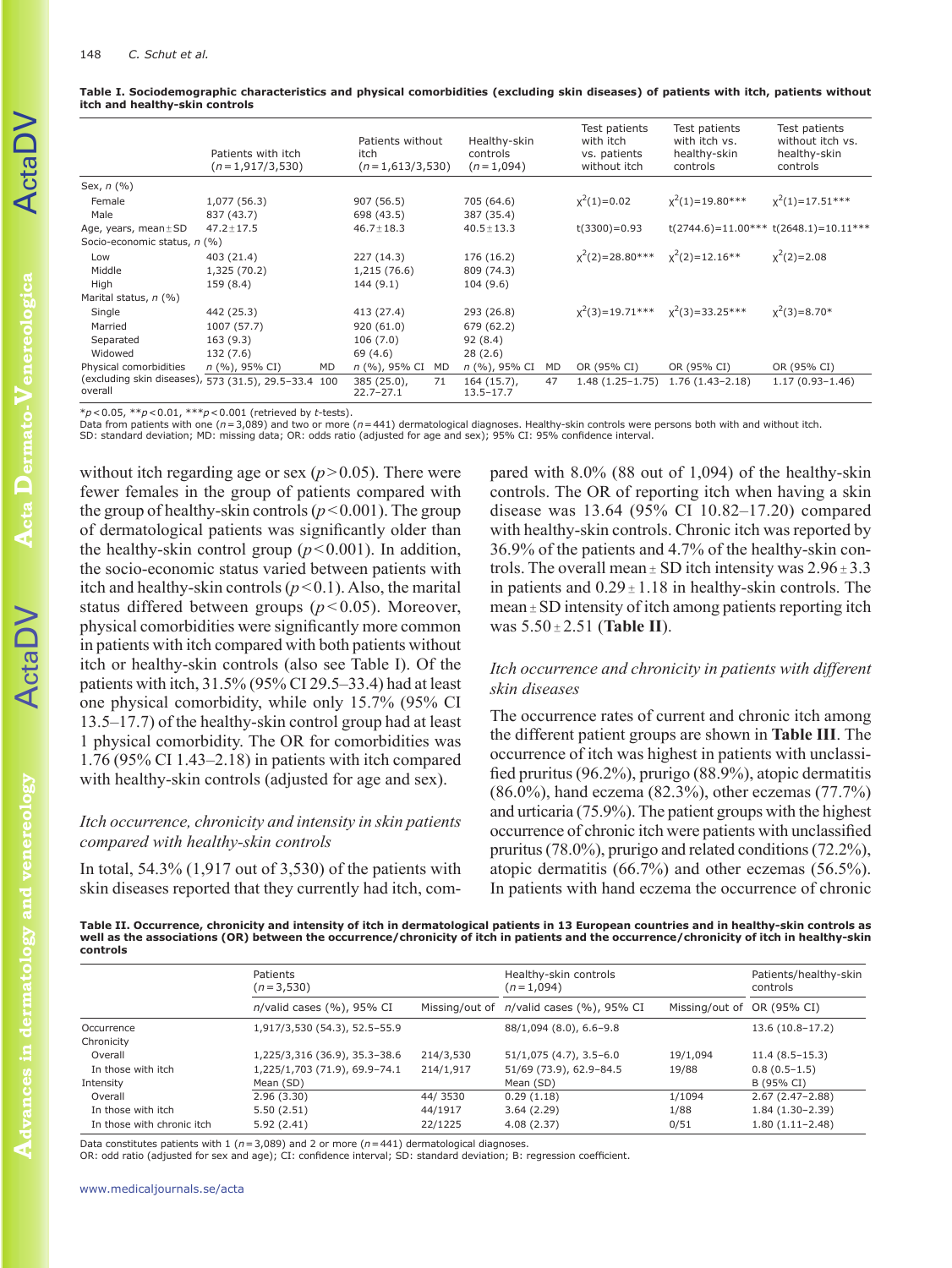|                              | Patients with itch<br>$(n=1,917/3,530)$              | Patients without<br>itch<br>$(n=1,613/3,530)$ | Healthy-skin<br>controls<br>$(n=1,094)$ |    | Test patients<br>with itch<br>vs. patients<br>without itch | Test patients<br>with itch vs.<br>healthy-skin<br>controls | Test patients<br>without itch vs.<br>healthy-skin<br>controls |
|------------------------------|------------------------------------------------------|-----------------------------------------------|-----------------------------------------|----|------------------------------------------------------------|------------------------------------------------------------|---------------------------------------------------------------|
| Sex, $n$ (%)                 |                                                      |                                               |                                         |    |                                                            |                                                            |                                                               |
| Female<br>Male               | 1,077 (56.3)<br>837 (43.7)                           | 907 (56.5)<br>698 (43.5)                      | 705 (64.6)<br>387 (35.4)                |    | $x^2(1)=0.02$                                              | $x^2(1)=19.80***$                                          | $x^2(1)=17.51***$                                             |
| Age, years, mean $\pm$ SD    | $47.2 \pm 17.5$                                      | $46.7 \pm 18.3$                               | $40.5 \pm 13.3$                         |    | $t(3300)=0.93$                                             |                                                            | $t(2744.6) = 11.00***t(2648.1) = 10.11***$                    |
| Socio-economic status, n (%) |                                                      |                                               |                                         |    |                                                            |                                                            |                                                               |
| Low                          | 403 (21.4)                                           | 227 (14.3)                                    | 176 (16.2)                              |    | $x^2(2) = 28.80***$                                        | $x^2(2)=12.16**$                                           | $x^2(2)=2.08$                                                 |
| Middle                       | 1,325 (70.2)                                         | 1,215 (76.6)                                  | 809 (74.3)                              |    |                                                            |                                                            |                                                               |
| High                         | 159 (8.4)                                            | 144(9.1)                                      | 104(9.6)                                |    |                                                            |                                                            |                                                               |
| Marital status, n (%)        |                                                      |                                               |                                         |    |                                                            |                                                            |                                                               |
| Single                       | 442 (25.3)                                           | 413 (27.4)                                    | 293 (26.8)                              |    | $x^2(3)=19.71***$                                          | $x^2(3)=33.25***$                                          | $x^2(3)=8.70*$                                                |
| Married                      | 1007 (57.7)                                          | 920 (61.0)                                    | 679 (62.2)                              |    |                                                            |                                                            |                                                               |
| Separated                    | 163(9.3)                                             | 106(7.0)                                      | 92(8.4)                                 |    |                                                            |                                                            |                                                               |
| Widowed                      | 132 (7.6)                                            | 69 (4.6)                                      | 28(2.6)                                 |    |                                                            |                                                            |                                                               |
| Physical comorbidities       | $n$ (%), 95% CI)<br><b>MD</b>                        | n (%), 95% CI<br>MD                           | n (%), 95% CI                           | MD | OR (95% CI)                                                | OR (95% CI)                                                | OR (95% CI)                                                   |
| overall                      | (excluding skin diseases), 573 (31.5), 29.5-33.4 100 | $385(25.0)$ ,<br>71<br>$22.7 - 27.1$          | $164(15.7)$ ,<br>$13.5 - 17.7$          | 47 | $1.48(1.25-1.75)$                                          | $1.76(1.43 - 2.18)$                                        | $1.17(0.93 - 1.46)$                                           |

**Table I. Sociodemographic characteristics and physical comorbidities (excluding skin diseases) of patients with itch, patients without itch and healthy-skin controls**

\**p*<0.05, \*\**p*<0.01, \*\*\**p*<0.001 (retrieved by *t*-tests).

Data from patients with one (*n*=3,089) and two or more (*n*=441) dermatological diagnoses. Healthy-skin controls were persons both with and without itch. SD: standard deviation; MD: missing data; OR: odds ratio (adjusted for age and sex); 95% CI: 95% confidence interval.

without itch regarding age or sex  $(p>0.05)$ . There were fewer females in the group of patients compared with the group of healthy-skin controls ( $p < 0.001$ ). The group of dermatological patients was significantly older than the healthy-skin control group  $(p<0.001)$ . In addition, the socio-economic status varied between patients with itch and healthy-skin controls  $(p<0.1)$ . Also, the marital status differed between groups  $(p<0.05)$ . Moreover, physical comorbidities were significantly more common in patients with itch compared with both patients without itch or healthy-skin controls (also see Table I). Of the patients with itch, 31.5% (95% CI 29.5–33.4) had at least one physical comorbidity, while only 15.7% (95% CI 13.5–17.7) of the healthy-skin control group had at least 1 physical comorbidity. The OR for comorbidities was 1.76 (95% CI 1.43–2.18) in patients with itch compared with healthy-skin controls (adjusted for age and sex).

## *Itch occurrence, chronicity and intensity in skin patients compared with healthy-skin controls*

In total, 54.3% (1,917 out of 3,530) of the patients with skin diseases reported that they currently had itch, com-

pared with 8.0% (88 out of 1,094) of the healthy-skin controls. The OR of reporting itch when having a skin disease was 13.64 (95% CI 10.82–17.20) compared with healthy-skin controls. Chronic itch was reported by 36.9% of the patients and 4.7% of the healthy-skin controls. The overall mean  $\pm$  SD itch intensity was  $2.96 \pm 3.3$ in patients and  $0.29 \pm 1.18$  in healthy-skin controls. The mean  $\pm$  SD intensity of itch among patients reporting itch was 5.50 <sup>±</sup> 2.51 (**Table II**).

# *Itch occurrence and chronicity in patients with different skin diseases*

The occurrence rates of current and chronic itch among the different patient groups are shown in **Table III**. The occurrence of itch was highest in patients with unclassified pruritus (96.2%), prurigo (88.9%), atopic dermatitis (86.0%), hand eczema (82.3%), other eczemas (77.7%) and urticaria (75.9%). The patient groups with the highest occurrence of chronic itch were patients with unclassified pruritus (78.0%), prurigo and related conditions (72.2%), atopic dermatitis (66.7%) and other eczemas (56.5%). In patients with hand eczema the occurrence of chronic

**Table II. Occurrence, chronicity and intensity of itch in dermatological patients in 13 European countries and in healthy-skin controls as well as the associations (OR) between the occurrence/chronicity of itch in patients and the occurrence/chronicity of itch in healthy-skin controls**

|                            | Patients<br>$(n=3,530)$          |           | Healthy-skin controls<br>$(n=1,094)$     | Patients/healthy-skin<br>controls |                   |
|----------------------------|----------------------------------|-----------|------------------------------------------|-----------------------------------|-------------------|
|                            | $n$ /valid cases $(\%)$ , 95% CI |           | Missing/out of n/valid cases (%), 95% CI | Missing/out of OR (95% CI)        |                   |
| Occurrence<br>Chronicity   | 1,917/3,530 (54.3), 52.5-55.9    |           | 88/1,094 (8.0), 6.6-9.8                  |                                   | $13.6(10.8-17.2)$ |
| Overall                    | 1,225/3,316 (36.9), 35.3-38.6    | 214/3,530 | $51/1,075(4.7), 3.5-6.0$                 | 19/1.094                          | $11.4(8.5-15.3)$  |
| In those with itch         | 1,225/1,703 (71.9), 69.9-74.1    | 214/1,917 | 51/69 (73.9), 62.9-84.5                  | 19/88                             | $0.8(0.5-1.5)$    |
| Intensity                  | Mean (SD)                        |           | Mean (SD)                                |                                   | B (95% CI)        |
| Overall                    | 2.96(3.30)                       | 44/3530   | 0.29(1.18)                               | 1/1094                            | $2.67(2.47-2.88)$ |
| In those with itch         | 5.50(2.51)                       | 44/1917   | 3.64(2.29)                               | 1/88                              | $1.84(1.30-2.39)$ |
| In those with chronic itch | 5.92(2.41)                       | 22/1225   | 4.08(2.37)                               | 0/51                              | $1.80(1.11-2.48)$ |

Data constitutes patients with 1 (*n*=3,089) and 2 or more (*n*=441) dermatological diagnoses.

OR: odd ratio (adjusted for sex and age); CI: confidence interval; SD: standard deviation; B: regression coefficient.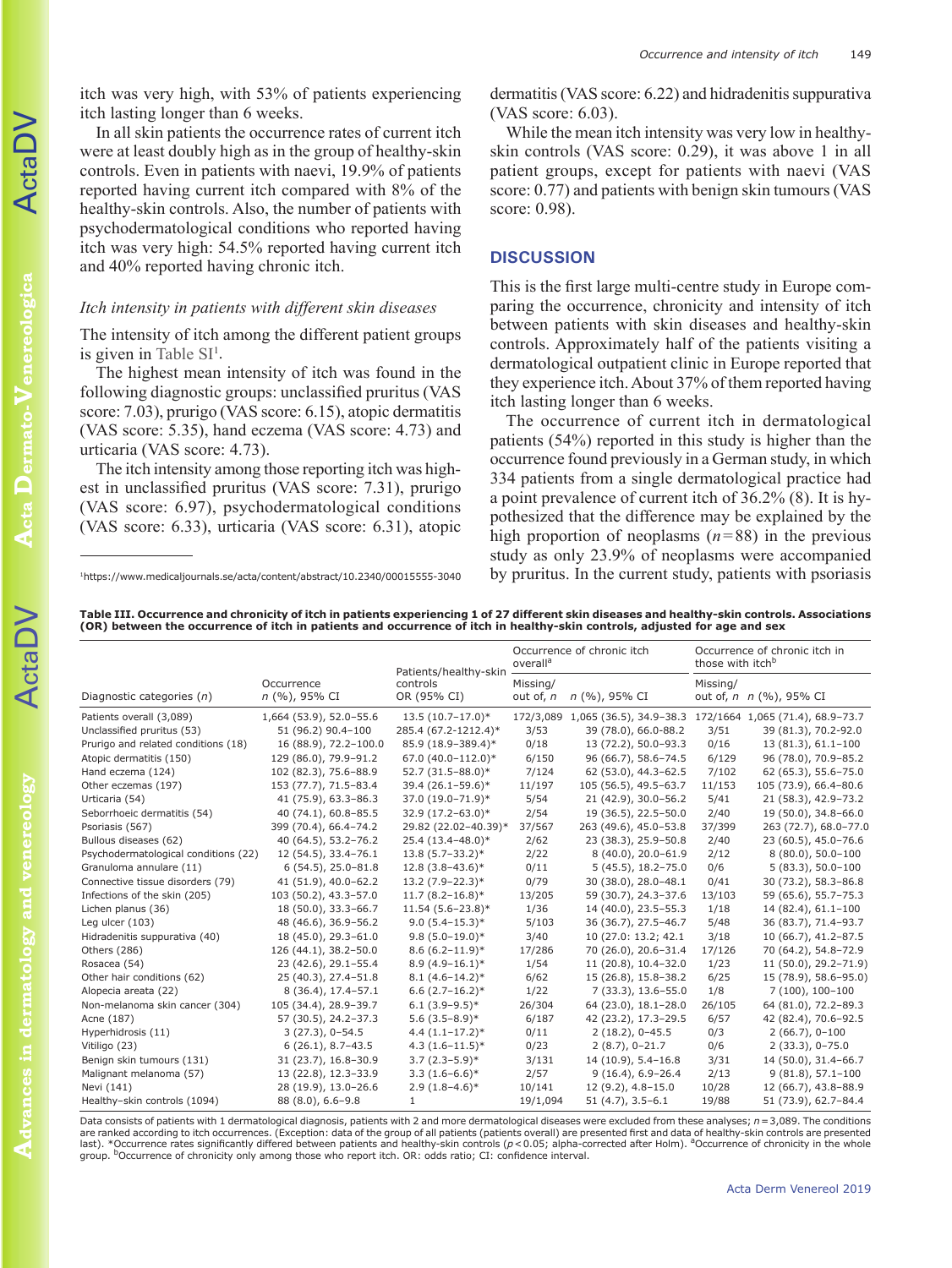itch was very high, with 53% of patients experiencing itch lasting longer than 6 weeks.

In all skin patients the occurrence rates of current itch were at least doubly high as in the group of healthy-skin controls. Even in patients with naevi, 19.9% of patients reported having current itch compared with 8% of the healthy-skin controls. Also, the number of patients with psychodermatological conditions who reported having itch was very high: 54.5% reported having current itch and 40% reported having chronic itch.

#### *Itch intensity in patients with different skin diseases*

The intensity of itch among the different patient groups is given in Table  $SI<sup>1</sup>$ .

The highest mean intensity of itch was found in the following diagnostic groups: unclassified pruritus (VAS score: 7.03), prurigo (VAS score: 6.15), atopic dermatitis (VAS score: 5.35), hand eczema (VAS score: 4.73) and urticaria (VAS score: 4.73).

The itch intensity among those reporting itch was highest in unclassified pruritus (VAS score: 7.31), prurigo (VAS score: 6.97), psychodermatological conditions (VAS score: 6.33), urticaria (VAS score: 6.31), atopic

dermatitis (VAS score: 6.22) and hidradenitis suppurativa (VAS score: 6.03).

While the mean itch intensity was very low in healthyskin controls (VAS score: 0.29), it was above 1 in all patient groups, except for patients with naevi (VAS score: 0.77) and patients with benign skin tumours (VAS score: 0.98).

#### **DISCUSSION**

This is the first large multi-centre study in Europe comparing the occurrence, chronicity and intensity of itch between patients with skin diseases and healthy-skin controls. Approximately half of the patients visiting a dermatological outpatient clinic in Europe reported that they experience itch. About 37% of them reported having itch lasting longer than 6 weeks.

The occurrence of current itch in dermatological patients (54%) reported in this study is higher than the occurrence found previously in a German study, in which 334 patients from a single dermatological practice had a point prevalence of current itch of 36.2% (8). It is hypothesized that the difference may be explained by the high proportion of neoplasms  $(n=88)$  in the previous study as only 23.9% of neoplasms were accompanied by pruritus. In the current study, patients with psoriasis

1https://www.medicaljournals.se/acta/content/abstract/10.2340/00015555-3040

**Table III. Occurrence and chronicity of itch in patients experiencing 1 of 27 different skin diseases and healthy-skin controls. Associations (OR) between the occurrence of itch in patients and occurrence of itch in healthy-skin controls, adjusted for age and sex**

|                                      |                             | Patients/healthy-skin   | Occurrence of chronic itch<br>overall <sup>a</sup> |                                                                    | Occurrence of chronic itch in<br>those with itch <sup>b</sup> |                         |
|--------------------------------------|-----------------------------|-------------------------|----------------------------------------------------|--------------------------------------------------------------------|---------------------------------------------------------------|-------------------------|
| Diagnostic categories $(n)$          | Occurrence<br>n (%), 95% CI | controls<br>OR (95% CI) | Missing/<br>out of, n                              | n (%), 95% CI                                                      | Missing/                                                      | out of, n n (%), 95% CI |
| Patients overall (3,089)             | 1,664 (53.9), 52.0-55.6     | $13.5(10.7-17.0)*$      |                                                    | 172/3,089 1,065 (36.5), 34.9-38.3 172/1664 1,065 (71.4), 68.9-73.7 |                                                               |                         |
| Unclassified pruritus (53)           | 51 (96.2) 90.4-100          | 285.4 (67.2-1212.4)*    | 3/53                                               | 39 (78.0), 66.0-88.2                                               | 3/51                                                          | 39 (81.3), 70.2-92.0    |
| Prurigo and related conditions (18)  | 16 (88.9), 72.2-100.0       | 85.9 (18.9-389.4)*      | 0/18                                               | 13 (72.2), 50.0-93.3                                               | 0/16                                                          | 13 (81.3), 61.1-100     |
| Atopic dermatitis (150)              | 129 (86.0), 79.9-91.2       | 67.0 (40.0-112.0)*      | 6/150                                              | 96 (66.7), 58.6-74.5                                               | 6/129                                                         | 96 (78.0), 70.9-85.2    |
| Hand eczema (124)                    | 102 (82.3), 75.6-88.9       | 52.7 (31.5-88.0)*       | 7/124                                              | 62 (53.0), 44.3-62.5                                               | 7/102                                                         | 62 (65.3), 55.6-75.0    |
| Other eczemas (197)                  | 153 (77.7), 71.5-83.4       | 39.4 (26.1-59.6)*       | 11/197                                             | 105 (56.5), 49.5-63.7                                              | 11/153                                                        | 105 (73.9), 66.4-80.6   |
| Urticaria (54)                       | 41 (75.9), 63.3-86.3        | 37.0 (19.0-71.9)*       | 5/54                                               | 21 (42.9), 30.0-56.2                                               | 5/41                                                          | 21 (58.3), 42.9-73.2    |
| Seborrhoeic dermatitis (54)          | 40 (74.1), 60.8-85.5        | 32.9 (17.2-63.0)*       | 2/54                                               | 19 (36.5), 22.5-50.0                                               | 2/40                                                          | 19 (50.0), 34.8-66.0    |
| Psoriasis (567)                      | 399 (70.4), 66.4-74.2       | 29.82 (22.02-40.39)*    | 37/567                                             | 263 (49.6), 45.0-53.8                                              | 37/399                                                        | 263 (72.7), 68.0-77.0   |
| Bullous diseases (62)                | 40 (64.5), 53.2-76.2        | 25.4 (13.4-48.0)*       | 2/62                                               | 23 (38.3), 25.9-50.8                                               | 2/40                                                          | 23 (60.5), 45.0-76.6    |
| Psychodermatological conditions (22) | 12 (54.5), 33.4-76.1        | $13.8(5.7 - 33.2)*$     | 2/22                                               | 8 (40.0), 20.0-61.9                                                | 2/12                                                          | $8(80.0), 50.0 - 100$   |
| Granuloma annulare (11)              | $6(54.5), 25.0 - 81.8$      | $12.8(3.8-43.6)$ *      | 0/11                                               | $5(45.5), 18.2 - 75.0$                                             | 0/6                                                           | $5(83.3), 50.0 - 100$   |
| Connective tissue disorders (79)     | 41 (51.9), 40.0-62.2        | $13.2(7.9 - 22.3)*$     | 0/79                                               | 30 (38.0), 28.0-48.1                                               | 0/41                                                          | 30 (73.2), 58.3-86.8    |
| Infections of the skin (205)         | 103 (50.2), 43.3-57.0       | $11.7(8.2 - 16.8)*$     | 13/205                                             | 59 (30.7), 24.3-37.6                                               | 13/103                                                        | 59 (65.6), 55.7-75.3    |
| Lichen planus (36)                   | 18 (50.0), 33.3-66.7        | $11.54(5.6-23.8)$ *     | 1/36                                               | 14 (40.0), 23.5-55.3                                               | 1/18                                                          | 14 (82.4), 61.1-100     |
| Leg ulcer (103)                      | 48 (46.6), 36.9-56.2        | $9.0(5.4 - 15.3)*$      | 5/103                                              | 36 (36.7), 27.5-46.7                                               | 5/48                                                          | 36 (83.7), 71.4-93.7    |
| Hidradenitis suppurativa (40)        | 18 (45.0), 29.3-61.0        | $9.8(5.0-19.0)*$        | 3/40                                               | 10 (27.0: 13.2; 42.1                                               | 3/18                                                          | 10 (66.7), 41.2-87.5    |
| Others (286)                         | 126 (44.1), 38.2-50.0       | $8.6(6.2 - 11.9)*$      | 17/286                                             | 70 (26.0), 20.6-31.4                                               | 17/126                                                        | 70 (64.2), 54.8-72.9    |
| Rosacea (54)                         | 23 (42.6), 29.1-55.4        | $8.9(4.9 - 16.1)*$      | 1/54                                               | 11 (20.8), 10.4-32.0                                               | 1/23                                                          | 11 (50.0), 29.2-71.9)   |
| Other hair conditions (62)           | 25 (40.3), 27.4-51.8        | $8.1(4.6-14.2)$ *       | 6/62                                               | 15 (26.8), 15.8-38.2                                               | 6/25                                                          | 15 (78.9), 58.6-95.0)   |
| Alopecia areata (22)                 | 8 (36.4), 17.4-57.1         | $6.6(2.7-16.2)$ *       | 1/22                                               | $7(33.3), 13.6 - 55.0$                                             | 1/8                                                           | $7(100), 100-100$       |
| Non-melanoma skin cancer (304)       | 105 (34.4), 28.9-39.7       | $6.1(3.9-9.5)$ *        | 26/304                                             | 64 (23.0), 18.1-28.0                                               | 26/105                                                        | 64 (81.0), 72.2-89.3    |
| Acne (187)                           | 57 (30.5), 24.2-37.3        | $5.6(3.5 - 8.9)$ *      | 6/187                                              | 42 (23.2), 17.3-29.5                                               | 6/57                                                          | 42 (82.4), 70.6-92.5    |
| Hyperhidrosis (11)                   | $3(27.3), 0-54.5$           | $4.4(1.1-17.2)*$        | 0/11                                               | $2(18.2), 0-45.5$                                                  | 0/3                                                           | $2(66.7), 0-100$        |
| Vitiligo (23)                        | $6(26.1), 8.7-43.5$         | $4.3(1.6-11.5)$ *       | 0/23                                               | $2(8.7), 0-21.7$                                                   | 0/6                                                           | $2(33.3), 0-75.0$       |
| Benign skin tumours (131)            | 31 (23.7), 16.8-30.9        | $3.7(2.3-5.9)*$         | 3/131                                              | 14 (10.9), 5.4-16.8                                                | 3/31                                                          | 14 (50.0), 31.4-66.7    |
| Malignant melanoma (57)              | 13 (22.8), 12.3-33.9        | $3.3(1.6-6.6)*$         | 2/57                                               | $9(16.4), 6.9 - 26.4$                                              | 2/13                                                          | $9(81.8), 57.1 - 100$   |
| Nevi (141)                           | 28 (19.9), 13.0-26.6        | $2.9(1.8-4.6)$ *        | 10/141                                             | 12 (9.2), 4.8-15.0                                                 | 10/28                                                         | 12 (66.7), 43.8-88.9    |
| Healthy-skin controls (1094)         | 88 (8.0), 6.6-9.8           | $\mathbf{1}$            | 19/1,094                                           | $51(4.7), 3.5-6.1$                                                 | 19/88                                                         | 51 (73.9), 62.7-84.4    |

Data consists of patients with 1 dermatological diagnosis, patients with 2 and more dermatological diseases were excluded from these analyses; *n*=3,089. The conditions are ranked according to itch occurrences. (Exception: data of the group of all patients (patients overall) are presented first and data of healthy-skin controls are presented last). \*Occurrence rates significantly differed between patients and healthy-skin controls (*p*<0.05; alpha-corrected after Holm). <sup>a</sup>Occurrence of chronicity in the whole group. <sup>b</sup>Occurrence of chronicity only among those who report itch. OR: odds ratio; CI: confidence interval.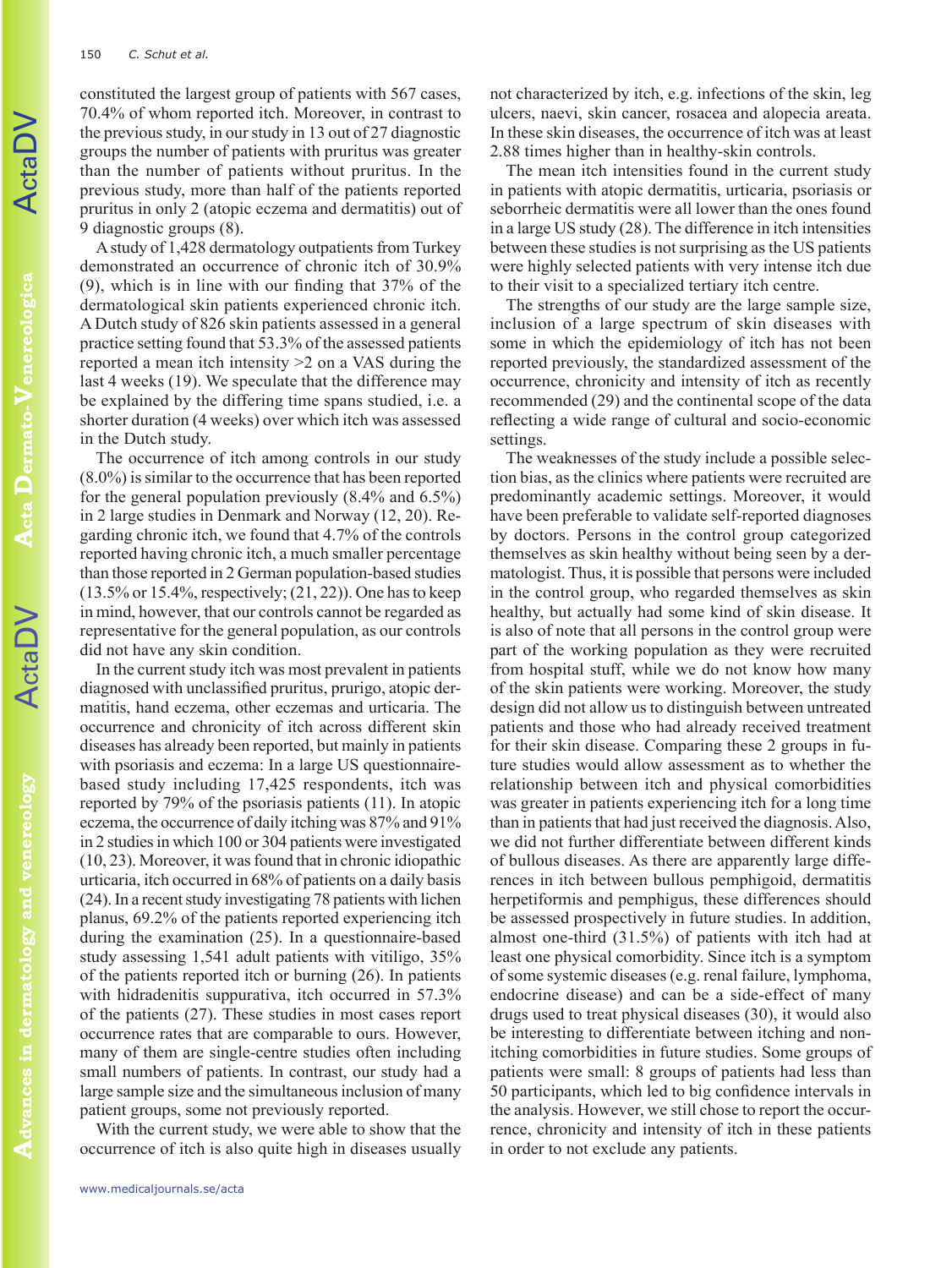constituted the largest group of patients with 567 cases, 70.4% of whom reported itch. Moreover, in contrast to the previous study, in our study in 13 out of 27 diagnostic groups the number of patients with pruritus was greater than the number of patients without pruritus. In the previous study, more than half of the patients reported pruritus in only 2 (atopic eczema and dermatitis) out of 9 diagnostic groups (8).

A study of 1,428 dermatology outpatients from Turkey demonstrated an occurrence of chronic itch of 30.9% (9), which is in line with our finding that 37% of the dermatological skin patients experienced chronic itch. A Dutch study of 826 skin patients assessed in a general practice setting found that 53.3% of the assessed patients reported a mean itch intensity >2 on a VAS during the last 4 weeks (19). We speculate that the difference may be explained by the differing time spans studied, i.e. a shorter duration (4 weeks) over which itch was assessed in the Dutch study.

The occurrence of itch among controls in our study (8.0%) is similar to the occurrence that has been reported for the general population previously (8.4% and 6.5%) in 2 large studies in Denmark and Norway (12, 20). Regarding chronic itch, we found that 4.7% of the controls reported having chronic itch, a much smaller percentage than those reported in 2 German population-based studies (13.5% or 15.4%, respectively; (21, 22)). One has to keep in mind, however, that our controls cannot be regarded as representative for the general population, as our controls did not have any skin condition.

In the current study itch was most prevalent in patients diagnosed with unclassified pruritus, prurigo, atopic dermatitis, hand eczema, other eczemas and urticaria. The occurrence and chronicity of itch across different skin diseases has already been reported, but mainly in patients with psoriasis and eczema: In a large US questionnairebased study including 17,425 respondents, itch was reported by 79% of the psoriasis patients (11). In atopic eczema, the occurrence of daily itching was 87% and 91% in 2 studies in which 100 or 304 patients were investigated (10, 23). Moreover, it was found that in chronic idiopathic urticaria, itch occurred in 68% of patients on a daily basis (24). In a recent study investigating 78 patients with lichen planus, 69.2% of the patients reported experiencing itch during the examination (25). In a questionnaire-based study assessing 1,541 adult patients with vitiligo, 35% of the patients reported itch or burning (26). In patients with hidradenitis suppurativa, itch occurred in 57.3% of the patients (27). These studies in most cases report occurrence rates that are comparable to ours. However, many of them are single-centre studies often including small numbers of patients. In contrast, our study had a large sample size and the simultaneous inclusion of many patient groups, some not previously reported.

With the current study, we were able to show that the occurrence of itch is also quite high in diseases usually

not characterized by itch, e.g. infections of the skin, leg ulcers, naevi, skin cancer, rosacea and alopecia areata. In these skin diseases, the occurrence of itch was at least 2.88 times higher than in healthy-skin controls.

The mean itch intensities found in the current study in patients with atopic dermatitis, urticaria, psoriasis or seborrheic dermatitis were all lower than the ones found in a large US study (28). The difference in itch intensities between these studies is not surprising as the US patients were highly selected patients with very intense itch due to their visit to a specialized tertiary itch centre.

The strengths of our study are the large sample size, inclusion of a large spectrum of skin diseases with some in which the epidemiology of itch has not been reported previously, the standardized assessment of the occurrence, chronicity and intensity of itch as recently recommended (29) and the continental scope of the data reflecting a wide range of cultural and socio-economic settings.

The weaknesses of the study include a possible selection bias, as the clinics where patients were recruited are predominantly academic settings. Moreover, it would have been preferable to validate self-reported diagnoses by doctors. Persons in the control group categorized themselves as skin healthy without being seen by a dermatologist. Thus, it is possible that persons were included in the control group, who regarded themselves as skin healthy, but actually had some kind of skin disease. It is also of note that all persons in the control group were part of the working population as they were recruited from hospital stuff, while we do not know how many of the skin patients were working. Moreover, the study design did not allow us to distinguish between untreated patients and those who had already received treatment for their skin disease. Comparing these 2 groups in future studies would allow assessment as to whether the relationship between itch and physical comorbidities was greater in patients experiencing itch for a long time than in patients that had just received the diagnosis. Also, we did not further differentiate between different kinds of bullous diseases. As there are apparently large differences in itch between bullous pemphigoid, dermatitis herpetiformis and pemphigus, these differences should be assessed prospectively in future studies. In addition, almost one-third (31.5%) of patients with itch had at least one physical comorbidity. Since itch is a symptom of some systemic diseases (e.g. renal failure, lymphoma, endocrine disease) and can be a side-effect of many drugs used to treat physical diseases (30), it would also be interesting to differentiate between itching and nonitching comorbidities in future studies. Some groups of patients were small: 8 groups of patients had less than 50 participants, which led to big confidence intervals in the analysis. However, we still chose to report the occurrence, chronicity and intensity of itch in these patients in order to not exclude any patients.